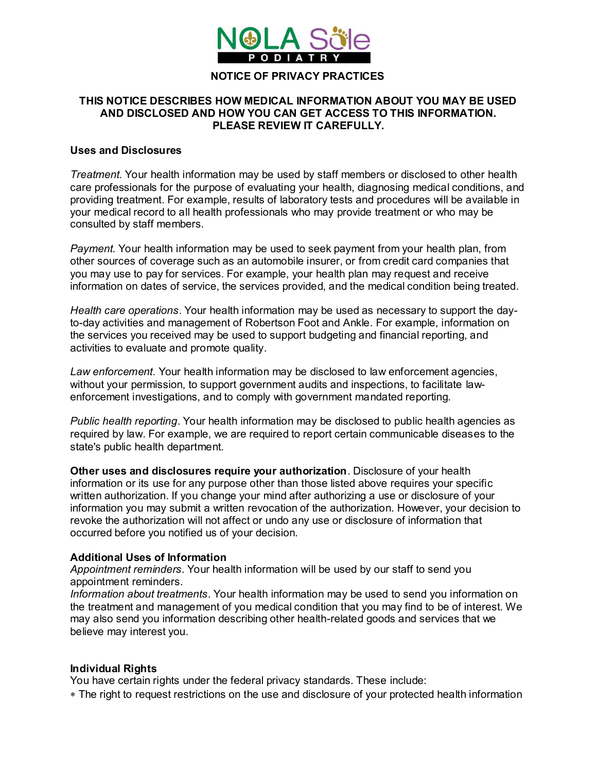

#### **NOTICE OF PRIVACY PRACTICES**

### **THIS NOTICE DESCRIBES HOW MEDICAL INFORMATION ABOUT YOU MAY BE USED AND DISCLOSED AND HOW YOU CAN GET ACCESS TO THIS INFORMATION. PLEASE REVIEW IT CAREFULLY.**

### **Uses and Disclosures**

*Treatment.* Your health information may be used by staff members or disclosed to other health care professionals for the purpose of evaluating your health, diagnosing medical conditions, and providing treatment. For example, results of laboratory tests and procedures will be available in your medical record to all health professionals who may provide treatment or who may be consulted by staff members.

*Payment.* Your health information may be used to seek payment from your health plan, from other sources of coverage such as an automobile insurer, or from credit card companies that you may use to pay for services. For example, your health plan may request and receive information on dates of service, the services provided, and the medical condition being treated.

*Health care operations*. Your health information may be used as necessary to support the dayto-day activities and management of Robertson Foot and Ankle. For example, information on the services you received may be used to support budgeting and financial reporting, and activities to evaluate and promote quality.

*Law enforcement*. Your health information may be disclosed to law enforcement agencies, without your permission, to support government audits and inspections, to facilitate lawenforcement investigations, and to comply with government mandated reporting.

*Public health reporting*. Your health information may be disclosed to public health agencies as required by law. For example, we are required to report certain communicable diseases to the state's public health department.

**Other uses and disclosures require your authorization**. Disclosure of your health information or its use for any purpose other than those listed above requires your specific written authorization. If you change your mind after authorizing a use or disclosure of your information you may submit a written revocation of the authorization. However, your decision to revoke the authorization will not affect or undo any use or disclosure of information that occurred before you notified us of your decision.

#### **Additional Uses of Information**

*Appointment reminders*. Your health information will be used by our staff to send you appointment reminders.

*Information about treatments*. Your health information may be used to send you information on the treatment and management of you medical condition that you may find to be of interest. We may also send you information describing other health-related goods and services that we believe may interest you.

#### **Individual Rights**

You have certain rights under the federal privacy standards. These include:

The right to request restrictions on the use and disclosure of your protected health information